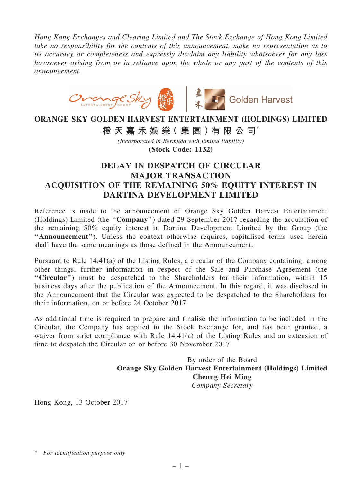*Hong Kong Exchanges and Clearing Limited and The Stock Exchange of Hong Kong Limited take no responsibility for the contents of this announcement, make no representation as to its accuracy or completeness and expressly disclaim any liability whatsoever for any loss howsoever arising from or in reliance upon the whole or any part of the contents of this announcement.*



## ORANGE SKY GOLDEN HARVEST ENTERTAINMENT (HOLDINGS) LIMITED

橙 天 嘉 禾 娛 樂 (集 團 ) 有 限 公 司 \*

*(Incorporated in Bermuda with limited liability)* (Stock Code: 1132)

## DELAY IN DESPATCH OF CIRCULAR MAJOR TRANSACTION ACQUISITION OF THE REMAINING 50% EQUITY INTEREST IN DARTINA DEVELOPMENT LIMITED

Reference is made to the announcement of Orange Sky Golden Harvest Entertainment (Holdings) Limited (the ''Company'') dated 29 September 2017 regarding the acquisition of the remaining 50% equity interest in Dartina Development Limited by the Group (the "Announcement"). Unless the context otherwise requires, capitalised terms used herein shall have the same meanings as those defined in the Announcement.

Pursuant to Rule 14.41(a) of the Listing Rules, a circular of the Company containing, among other things, further information in respect of the Sale and Purchase Agreement (the ''Circular'') must be despatched to the Shareholders for their information, within 15 business days after the publication of the Announcement. In this regard, it was disclosed in the Announcement that the Circular was expected to be despatched to the Shareholders for their information, on or before 24 October 2017.

As additional time is required to prepare and finalise the information to be included in the Circular, the Company has applied to the Stock Exchange for, and has been granted, a waiver from strict compliance with Rule 14.41(a) of the Listing Rules and an extension of time to despatch the Circular on or before 30 November 2017.

> By order of the Board Orange Sky Golden Harvest Entertainment (Holdings) Limited Cheung Hei Ming *Company Secretary*

Hong Kong, 13 October 2017

<sup>\*</sup> *For identification purpose only*